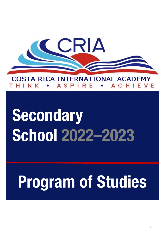

# TA RICA INTFRNATIONAL ACADEMY COS

# **Secondary School 2022–2023**

# **Program of Studies**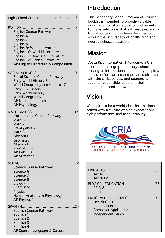| High School Graduation Requirements3                                                                                                                                                                                                                              |
|-------------------------------------------------------------------------------------------------------------------------------------------------------------------------------------------------------------------------------------------------------------------|
| <b>ENGLISH</b><br><b>English Course Pathway</b><br>English 6<br>English 7<br>English 8<br>English 9: World Literature<br>English 10: World Literature<br>English 11: American Literature<br>English 12: British Literature<br>AP English Literature & Composition |
| . 9<br>SOCIAL SCIENCES<br>Social Science Course Pathway<br>Early World History 6<br>World Geography and Cultures 7<br>Early U.S. History 8<br><b>Early World History</b><br><b>World Geography</b><br><b>AP Macroeconomics</b><br>AP Psychology                   |
| MATHEMATICS<br>14<br>Mathematics Course Pathway<br>Math 6<br>Math 7<br>Pre-Algebra 7<br>Math 8<br>Algebra I<br>Geometry<br>Algebra II<br><b>Pre-Calculus</b><br><b>AP Calculus</b><br><b>AP Statistics</b>                                                        |
| SCIENCE<br><b>Science Course Pathway</b><br>Science 6<br>Science 7<br>Science 8<br><b>Biology</b><br>Chemistry<br><b>Physics</b><br>Human Anatomy & Physiology<br>AP Physics 1                                                                                    |
| SPANISH<br>. 27<br>Spanish Course Pathway<br>Spanish 1<br>Spanish 2<br>Spanish 3<br>Spanish 4<br>AP Spanish Language & Culture                                                                                                                                    |

# Introduction

This Secondary School Program of Studies booklet is intended to provide valuable information to allow students and parents to make selections that will best prepare for future success. It has been designed to explain the rich variety of challenging and rigorous choices available.

# Mission

Costa Rica International Academy, a U.S. accredited college preparatory school serving an international community, inspires a passion for learning and provides children with the skills, values, and courage to become responsible leaders in their communities and the world.

# Vision

We aspire to be a world-class international school with a culture of high expectations, high performance and accountability.



| Art 6-8<br>Art 9-12                                                                                                       |
|---------------------------------------------------------------------------------------------------------------------------|
| PHYSICAL EDUCATION33<br>PE 6-8<br>PE 9-12                                                                                 |
| ENRICHMENT ELECTIVES<br>35<br>Health 6-10<br><b>Personal Finance</b><br><b>Computer Applications</b><br>Independent Study |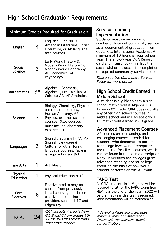# High School Graduation Requirements

| Minimum Credits Required for Graduation |    |                                                                                                                                                                          |  |  |  |  |
|-----------------------------------------|----|--------------------------------------------------------------------------------------------------------------------------------------------------------------------------|--|--|--|--|
| English                                 | 4  | English 9, English 10,<br>American Literature, British<br>Literature, or AP language<br>arts courses                                                                     |  |  |  |  |
| <b>Social</b><br>Science                | 3  | Early World History 9,<br>Modern World History 10,<br>Modern World Geography,<br>AP Economics, AP<br>Psychology                                                          |  |  |  |  |
| <b>Mathematics</b>                      | 3* | Algebra I, Geometry,<br>Algebra II, Pre-Calculus, AP<br>Calculus AB, AP Statistics                                                                                       |  |  |  |  |
| Science                                 | 3  | Biology, Chemistry, Physics<br>are required courses,<br>Human Anatomy, AP<br>Physics, or other science<br>courses (two courses<br>must include laboratory<br>experience) |  |  |  |  |
| Languages                               | 3  | Spanish: Spanish I – IV, AP<br>Spanish Language &<br>Culture, or other foreign<br>language courses; Spanish<br>is required in Gds 9-11                                   |  |  |  |  |
| Fine Arts                               |    | Art, Music                                                                                                                                                               |  |  |  |  |
| Physical<br><b>Education</b>            | 1  | <b>Physical Education 9-12</b>                                                                                                                                           |  |  |  |  |
| Core<br><b>Electives</b>                | 6  | Elective credits may be<br>chosen from previously<br>listed courses, enrichment<br>electives, and online<br>providers such as K12 and<br>Edgenuity                       |  |  |  |  |
| <b>TOTAL</b>                            | 24 | CRIA accepts 7 credits from<br>Gd. 9 and 6 from Grades 10-<br>11 for students transferring<br>from other schools.                                                        |  |  |  |  |

# Service Learning Implementation

Students must serve a minimum number of hours of community service as a requirement of graduation from Costa Rica International Academy. A minimum of 10 hours is required per year. The end-of-year CRIA Report Card and Transcript will reflect the successful or unsuccessful completion of required community service hours.

Please see the Community Service Policy for more details.

# High School Credit Earned in Middle School

A student is eligible to earn a high school math credit if Algebra 1 is taken in 8th grade. CRIA does not offer any other high school courses in middle school and will accept only 1 HS math credit earned in 8<sup>th</sup> grade.

# Advanced Placement Courses

AP courses are demanding, and challenging courses intended for students who demonstrate potential for college level work. Prerequisites are required for all AP courses, which can be found in the course description. Many universities and colleges grant advanced standing and/or college credit on the basis of how well a student performs on the AP exam.

# FARO Test

All CRIA students in 11th grade will be required to sit for the FARO exam from MEP near the end of the year. 2022 will be the first year this test is required. More information will be forthcoming.

\* Several colleges and universities require 4 years of mathematics. Please visit the university website for clarification.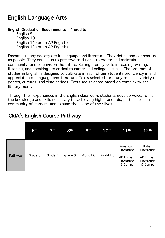### English Graduation Requirements – 4 credits

- English 9
- English 10
- English 11 (or an AP English)
- English 12 (or an AP English)

Essential to any society are its language and literature. They define and connect us as people. They enable us to preserve traditions, to create and maintain community, and to envision the future. Strong literacy skills in reading, writing, listening, and speaking are critical to career and college success. The program of studies in English is designed to cultivate in each of our students proficiency in and appreciation of language and literature. Texts selected for study reflect a variety of genres, cultures, and time periods. Texts are selected based on complexity and literary merit.

Through their experiences in the English classroom, students develop voice, refine the knowledge and skills necessary for achieving high standards, participate in a community of learners, and expand the scope of their lives.

|         | 6 <sup>th</sup> | 7th     | 8 <sup>th</sup> | <b>9th</b>       | 10 <sup>th</sup> | 11 <sup>th</sup>                                              | 12th                                                                |
|---------|-----------------|---------|-----------------|------------------|------------------|---------------------------------------------------------------|---------------------------------------------------------------------|
| Pathway | Grade 6         | Grade 7 | Grade 8         | <b>World Lit</b> | World Lit        | American<br>Literature<br>AP English<br>Literature<br>& Comp. | <b>British</b><br>Literature<br>AP English<br>Literature<br>& Comp. |

# CRIA's English Course Pathway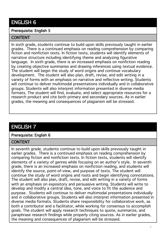# ENGLISH 6

#### Prerequisite: English 5

#### **CONTENT**

In sixth grade, students continue to build upon skills previously taught in earlier grades. There is a continued emphasis on reading comprehension by comparing fiction and nonfiction texts. In fiction texts, students will identify elements of narrative structure including identifying theme and analyzing figurative language. In sixth grade, there is an increased emphasis on nonfiction reading by creating objective summaries and drawing inferences using textual evidence. The student will begin the study of word origins and continue vocabulary development. The student will also plan, draft, revise, and edit writing in a variety of forms with an emphasis on narrative and reflective writing. Students will continue to deliver multimodal presentations individually and in collaborative groups. Students will also interpret information presented in diverse media formats. The student will find, evaluate, and select appropriate resources for a research product and cite both primary and secondary sources. As in earlier grades, the meaning and consequences of plagiarism will be stressed.

# ENGLISH 7

#### Prerequisite: English 6

#### **CONTENT**

In seventh grade, students continue to build upon skills previously taught in earlier grades. There is a continued emphasis on reading comprehension by comparing fiction and nonfiction texts. In fiction texts, students will identify elements of a variety of genres while focusing on an author's style. In seventh grade, there is an increased emphasis on nonfiction reading, and students will identify the source, point-of-view, and purpose of texts. The student will continue the study of word origins and roots and begin identifying connotations. The student will also plan, draft, revise, and edit writing in a variety of forms with an emphasis on expository and persuasive writing. Students will write to develop and modify a central idea, tone, and voice to fit the audience and purpose. Students will continue to deliver multimodal presentations individually and in collaborative groups. Students will also interpret information presented in diverse media formats. Students share responsibility for collaborative work, as both a contributor and a facilitator, while working for consensus to accomplish goals. The student will apply research techniques to quote, summarize, and paraphrase research findings while properly citing sources. As in earlier grades, the meaning and consequences of plagiarism will be stressed.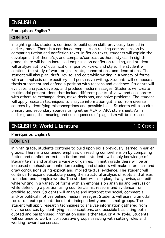# ENGLISH 8

#### Prerequisite: English 7

### **CONTENT**

In eighth grade, students continue to build upon skills previously learned in earlier grades. There is a continued emphasis on reading comprehension by comparing fiction and nonfiction texts. In fiction texts, students will explain the development of theme(s), and compare/contrast authors' styles. In eighth grade, there will be an increased emphasis on nonfiction reading, and students will analyze authors' qualifications, point-of-view, and style. The student will continue the study of word origins, roots, connotations, and denotations. The student will also plan, draft, revise, and edit while writing in a variety of forms with an emphasis on expository and persuasive writing. Students will compose a thesis statement and defend a position with reasons and evidence. Students will evaluate, analyze, develop, and produce media messages. Students will create multimodal presentations that include different points-of-view, and collaborate with others to exchange ideas, make decisions, and solve problems. The student will apply research techniques to analyze information gathered from diverse sources by identifying misconceptions and possible bias. Students will also cite primary and secondary sources using either MLA or APA style sheet. As in earlier grades, the meaning and consequences of plagiarism will be stressed.

# ENGLISH 9: World Literature **1.0** Credit

6

# Prerequisite: English 8

# **CONTENT**

In ninth grade, students continue to build upon skills previously learned in earlier grades. There is a continued emphasis on reading comprehension by comparing fiction and nonfiction texts. In fiction texts, students will apply knowledge of literary terms and analyze a variety of genres. In ninth grade there will be an increased emphasis on nonfiction reading, and students will make inferences and draw conclusions using explicit and implied textual evidence. The student will continue to expand vocabulary using the structural analysis of roots and affixes to understand complex words. The student will also plan, draft, revise, and edit while writing in a variety of forms with an emphasis on analysis and persuasion while defending a position using counterclaims, reasons and evidence from credible sources. Students will analyze and interpret the social, commercial, and/or political motives behind media messages. Students will use multimodal tools to create presentations both independently and in small groups. The student will apply research techniques to analyze information gathered from diverse sources by identifying misconceptions, and possible bias citing both quoted and paraphrased information using either MLA or APA style. Students will continue to work in collaborative groups assisting with setting rules and working toward consensus.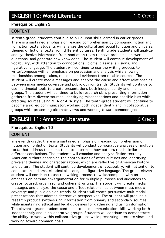#### Prerequisite: English 9

#### CONTENT

In tenth grade, students continue to build upon skills learned in earlier grades. There is a sustained emphasis on reading comprehension by comparing fiction and nonfiction texts. Students will analyze the cultural and social function and universal themes of fictional texts from different cultures. Tenth grade students will analyze and synthesize information from nonfiction texts to solve problems, answer questions, and generate new knowledge. The student will continue development of vocabulary, with attention to connotations, idioms, classical allusions, and figurative language. The student will continue to use the writing process to write/compose with an emphasis on persuasion and analysis while showing relationships among claims, reasons, and evidence from reliable sources. The student will create media messages and analyze the cause and effect relationships between mass media coverage and public opinion trends. Students will continue to use multimodal tools to create presentations both independently and in small groups. The student will continue to build research skills presenting information gathered from diverse sources, identifying misconceptions and possible bias while crediting sources using MLA or APA style. The tenth-grade student will continue to become a skilled communicator, working both independently and in collaborative groups while presenting alternate views and working toward common goals.

# ENGLISH 11: American Literature 1.0 Credit

# Prerequisite: English 10

#### **CONTENT**

In eleventh grade, there is a sustained emphasis on reading comprehension of fiction and nonfiction texts. Students will conduct comparative analyses of multiple texts that address the same topic to determine how authors reach similar or different conclusions. The students will examine and analyze fiction texts by American authors describing the contributions of other cultures and identifying prevalent themes and characterizations, which are reflective of American history and culture. The student will continue development of vocabulary, with attention to connotations, idioms, classical allusions, and figurative language. The grade-eleven student will continue to use the writing process to write/compose with an emphasis on persuasion/argumentation for multiple purposes and audiences to create focused, organized, and coherent writing. The student will create media messages and analyze the cause and effect relationships between mass media coverage and public opinion trends. Students will create persuasive multimodal presentations that address alternative perspectives. The student will produce a research product synthesizing information from primary and secondary sources while maintaining ethical and legal guidelines for gathering and using information. The eleventh-grade student continues to build communication skills working both independently and in collaborative groups. Students will continue to demonstrate the ability to work within collaborative groups while presenting alternate views and working toward common goals.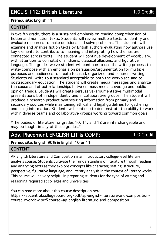### Prerequisite: English 11

#### CONTENT

In twelfth grade, there is a sustained emphasis on reading comprehension of fiction and nonfiction texts. Students will review multiple texts to identify and evaluate resources to make decisions and solve problems. The students will examine and analyze fiction texts by British authors evaluating how authors use key elements to contribute to meaning and interpreting how themes are connected across texts. The student will continue development of vocabulary, with attention to connotations, idioms, classical allusions, and figurative language. The grade-twelve student will continue to use the writing process to write/compose with an emphasis on persuasion/argumentation for multiple purposes and audiences to create focused, organized, and coherent writing. Students will write to a standard acceptable to both the workplace and to postsecondary education. The student will create media messages and analyze the cause and effect relationships between mass media coverage and public opinion trends. Students will create persuasive/argumentative multimodal presentations both independently and in collaborative groups. The student will produce a research product synthesizing information from primary and secondary sources while maintaining ethical and legal guidelines for gathering and using information. Students will continue to demonstrate the ability to work within diverse teams and collaborative groups working toward common goals.

\*The bodies of literature for grades 10, 11, and 12 are interchangeable and may be taught in any of these grades.\*

# Adv. Placement ENGLISH LIT & COMP: 1.0 Credit

# Prerequisite: English 90% in English 10 or 11

# CONTENT

AP English Literature and Composition is an introductory college-level literary analysis course. Students cultivate their understanding of literature through reading and analyzing texts as they explore concepts like character, setting, structure, perspective, figurative language, and literary analysis in the context of literary works. This course will be very helpful in preparing students for the type of writing and reasoning required at colleges and universities.

You can read more about this course description here: https://apcentral.collegeboard.org/pdf/ap-english-literature-and-compositioncourse-overview.pdf?course=ap-english-literature-and-composition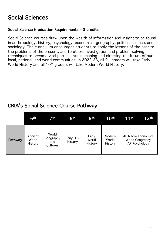# Social Science Graduation Requirements – 3 credits

Social Science courses draw upon the wealth of information and insight to be found in anthropology, history, psychology, economics, geography, political science, and sociology. The curriculum encourages students to apply the lessons of the past to the problems of the present, and to utilize investigation and problem-solving techniques to become vital participants in shaping and directing the future of our local, national, and world communities. In 2022-23, all 9th graders will take Early World History and all 10<sup>th</sup> graders will take Modern World History.

# CRIA's Social Science Course Pathway

|                | 6th                         | 7th.                                  | 8 <sup>th</sup>       | <b>g</b> th               | 10 <sup>th</sup>           | 11th                                                          | 12 <sup>th</sup> |
|----------------|-----------------------------|---------------------------------------|-----------------------|---------------------------|----------------------------|---------------------------------------------------------------|------------------|
| <b>Pathway</b> | Ancient<br>World<br>History | World<br>Geography<br>and<br>Cultures | Early U.S.<br>History | Early<br>World<br>History | Modern<br>World<br>History | AP Macro Economics<br><b>World Geography</b><br>AP Psychology |                  |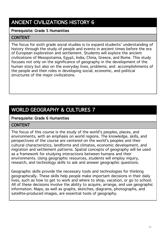# ANCIENT CIVILIZATIONS HISTORY 6

### Prerequisite: Grade 5 Humanities

### **CONTENT**

The focus for sixth grade social studies is to expand students' understanding of history through the study of people and events in ancient times before the era of European exploration and settlement. Students will explore the ancient civilizations of Mesopotamia, Egypt, India, China, Greece, and Rome. This study focuses not only on the significance of geography in the development of the human story but also on the everyday lives, problems, and accomplishments of the people and their roles in developing social, economic, and political structures of the major civilizations.

# WORLD GEOGRAPHY & CULTURES 7

#### Prerequisite: Grade 6 Humanities

#### **CONTENT**

The focus of this course is the study of the world's peoples, places, and environments, with an emphasis on world regions. The knowledge, skills, and perspectives of the course are centered on the world's peoples and their cultural characteristics, landforms and climates, economic development, and migration and settlement patterns. Spatial concepts of geography will be used as a framework for studying interactions between humans and their environments. Using geographic resources, students will employ inquiry, research, and technology skills to ask and answer geographic questions.

Geographic skills provide the necessary tools and technologies for thinking geographically. These skills help people make important decisions in their daily lives, such as how to get to work and where to shop, vacation, or go to school. All of these decisions involve the ability to acquire, arrange, and use geographic information. Maps, as well as graphs, sketches, diagrams, photographs, and satellite-produced images, are essential tools of geography.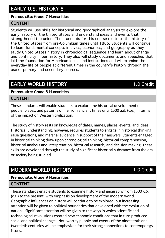# EARLY U.S. HISTORY 8

# Prerequisite: Grade 7 Humanities

# CONTENT

Students will use skills for historical and geographical analysis to explore the early history of the United States and understand ideas and events that strengthened the union. The standards for this course relate to the history of the United States from pre-Columbian times until 1865. Students will continue to learn fundamental concepts in civics, economics, and geography as they study United States history in chronological sequence and learn about change and continuity in our history. They also will study documents and speeches that laid the foundation for American ideals and institutions and will examine the everyday life of people at different times in the country's history through the use of primary and secondary sources.

# EARLY WORLD HISTORY **1.0** Credit

Prerequisite: Grade 8 Humanities

# **CONTENT**

These standards will enable students to explore the historical development of people, places, and patterns of life from ancient times until 1500 a.d. (c.e.) in terms of the impact on Western civilization.

The study of history rests on knowledge of dates, names, places, events, and ideas. Historical understanding, however, requires students to engage in historical thinking, raise questions, and marshal evidence in support of their answers. Students engaged in historical thinking draw upon chronological thinking, historical comprehension, historical analysis and interpretation, historical research, and decision making. These skills are developed through the study of significant historical substance from the era or society being studied.

# MODERN WORLD HISTORY **1.0** Credit

# Prerequisite: Grade 9 Humanities

# CONTENT

twentieth centuries will be emphasized for their strong connections to contemporary These standards enable students to examine history and geography from 1500 A.D. (C.E.) to the present, with emphasis on development of the modern world. Geographic influences on history will continue to be explored, but increasing attention will be given to political boundaries that developed with the evolution of nations. Significant attention will be given to the ways in which scientific and technological revolutions created new economic conditions that in turn produced social and political changes. Noteworthy people and events of the nineteenth and issues.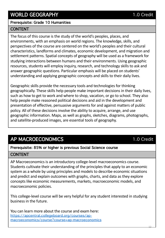# WORLD GEOGRAPHY 1.0 Credit

# Prerequisite: Grade 10 Humanities

# **CONTENT**

The focus of this course is the study of the world's peoples, places, and environments, with an emphasis on world regions. The knowledge, skills, and perspectives of the course are centered on the world's peoples and their cultural characteristics, landforms and climates, economic development, and migration and settlement patterns. Spatial concepts of geography will be used as a framework for studying interactions between humans and their environments. Using geographic resources, students will employ inquiry, research, and technology skills to ask and answer geographic questions. Particular emphasis will be placed on students' understanding and applying geographic concepts and skills to their daily lives.

Geographic skills provide the necessary tools and technologies for thinking geographically. These skills help people make important decisions in their daily lives, such as how to get to work and where to shop, vacation, or go to school. They also help people make reasoned political decisions and aid in the development and presentation of effective, persuasive arguments for and against matters of public policy. All of these decisions involve the ability to acquire, arrange, and use geographic information. Maps, as well as graphs, sketches, diagrams, photographs, and satellite-produced images, are essential tools of geography.

# AP MACROECONOMICS 1.0 Credit

#### Prerequisite: 85% or higher is previous Social Science course

#### **CONTENT**

AP Macroeconomics is an introductory college-level macroeconomics course. Students cultivate their understanding of the principles that apply to an economic system as a whole by using principles and models to describe economic situations and predict and explain outcomes with graphs, charts, and data as they explore concepts like economic measurements, markets, macroeconomic models, and macroeconomic policies.

This college-level course will be very helpful for any student interested in studying business in the future.

You can learn more about the course and exam here: [https://apcentral.collegeboard.org/courses/ap](https://apcentral.collegeboard.org/courses/ap-macroeconomics/course?course=ap-macroeconomics)macroeconomics/course?course=ap-macroeconomics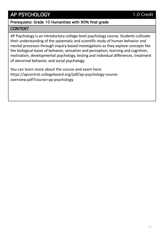# AP PSYCHOLOGY 1.0 Credit

# Prerequisite: Grade 10 Humanities with 90% final grade

# CONTENT

AP Psychology is an introductory college-level psychology course. Students cultivate their understanding of the systematic and scientific study of human behavior and mental processes through inquiry-based investigations as they explore concepts like the biological bases of behavior, sensation and perception, learning and cognition, motivation, developmental psychology, testing and individual differences, treatment of abnormal behavior, and social psychology.

You can learn more about the course and exam here: https://apcentral.collegeboard.org/pdf/ap-psychology-courseoverview.pdf?course=ap-psychology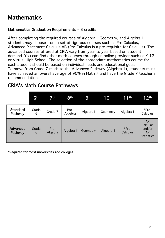# Mathematics Graduation Requirements – 3 credits

After completing the required courses of Algebra I, Geometry, and Algebra II, students may choose from a set of rigorous courses such as Pre-Calculus, Advanced Placement Calculus AB (Pre-Calculus is a pre-requisite for Calculus). The advanced courses offered at CRIA vary from year to year based on student demand. You can find other math courses through an online provider such as K-12 or Virtual High School. The selection of the appropriate mathematics course for each student should be based on individual needs and educational goals. To move from Grade 7 math to the Advanced Pathway (Algebra 1), students must have achieved an overall average of 90% in Math 7 and have the Grade 7 teacher's recommendation.

# CRIA's Math Course Pathways

|                            | 6th        | 7th             | <b>8th</b>      | <b>9th</b>      | 10 <sup>th</sup> | 11th              | 12 <sup>th</sup>                                    |
|----------------------------|------------|-----------------|-----------------|-----------------|------------------|-------------------|-----------------------------------------------------|
| <b>Standard</b><br>Pathway | Grade<br>6 | Grade 7         | Pre-<br>Algebra | Algebra I       | Geometry         | Algebra II        | *Pre-<br>Calculus                                   |
| <b>Advanced</b><br>Pathway | Grade<br>6 | Pre-<br>Algebra | Algebra I       | <b>Geometry</b> | Algebra II       | *Pre-<br>Calculus | AP<br>Calculus<br>and/or<br>AP<br><b>Statistics</b> |

\*Required for most universities and colleges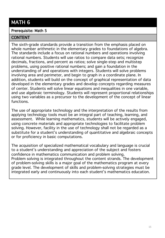# MATH 6

### Prerequisite: Math 5

# CONTENT

The sixth-grade standards provide a transition from the emphasis placed on whole number arithmetic in the elementary grades to foundations of algebra. The standards include a focus on rational numbers and operations involving rational numbers. Students will use ratios to compare data sets; recognize decimals, fractions, and percent as ratios; solve single-step and multistep problems, using positive rational numbers; and gain a foundation in the understanding of and operations with integers. Students will solve problems involving area and perimeter, and begin to graph in a coordinate plane. In addition, students will build on the concept of graphical representation of data developed in the elementary grades and develop concepts regarding measures of center. Students will solve linear equations and inequalities in one variable, and use algebraic terminology. Students will represent proportional relationships using two variables as a precursor to the development of the concept of linear functions.

The use of appropriate technology and the interpretation of the results from applying technology tools must be an integral part of teaching, learning, and assessment. While learning mathematics, students will be actively engaged, using concrete materials and appropriate technologies to facilitate problem solving. However, facility in the use of technology shall not be regarded as a substitute for a student's understanding of quantitative and algebraic concepts or for proficiency in basic computations.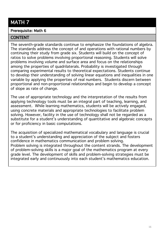# MATH 7

#### Prerequisite: Math 6

# **CONTENT**

The seventh-grade standards continue to emphasize the foundations of algebra. The standards address the concept of and operations with rational numbers by continuing their study from grade six. Students will build on the concept of ratios to solve problems involving proportional reasoning. Students will solve problems involving volume and surface area and focus on the relationships among the properties of quadrilaterals. Probability is investigated through comparing experimental results to theoretical expectations. Students continue to develop their understanding of solving linear equations and inequalities in one variable by applying the properties of real numbers. Students discern between proportional and non-proportional relationships and begin to develop a concept of slope as rate of change.

The use of appropriate technology and the interpretation of the results from applying technology tools must be an integral part of teaching, learning, and assessment. While learning mathematics, students will be actively engaged, using concrete materials and appropriate technologies to facilitate problem solving. However, facility in the use of technology shall not be regarded as a substitute for a student's understanding of quantitative and algebraic concepts or for proficiency in basic computations.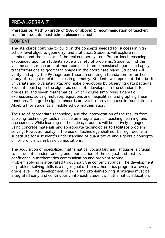# PRE-ALGEBRA 7

Prerequisite: Math 6 (grade of 90% or above) & recommendation of teacher; transfer students must take a placement test

# **CONTENT**

The standards continue to build on the concepts needed for success in high school level algebra, geometry, and statistics. Students will explore real numbers and the subsets of the real number system. Proportional reasoning is expounded upon as students solve a variety of problems. Students find the volume and surface area of more complex three-dimensional figures and apply transformations to geometric shapes in the coordinate plane. Students will verify and apply the Pythagorean Theorem creating a foundation for further study of triangular relationships in geometry. Students will represent data, both univariate and bivariate data, and make predictions by observing data patterns. Students build upon the algebraic concepts developed in the standards for grades six and seven mathematics, which include simplifying algebraic expressions, solving multistep equations and inequalities, and graphing linear functions. The grade eight standards are vital to providing a solid foundation in Algebra I for students in middle school mathematics.

The use of appropriate technology and the interpretation of the results from applying technology tools must be an integral part of teaching, learning, and assessment. While learning mathematics, students will be actively engaged, using concrete materials and appropriate technologies to facilitate problem solving. However, facility in the use of technology shall not be regarded as a substitute for a student's understanding of quantitative and algebraic concepts or for proficiency in basic computations.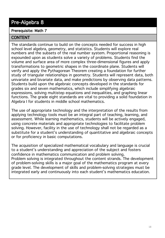# Pre-Algebra 8

# Prerequisite: Math 7

# CONTENT

The standards continue to build on the concepts needed for success in high school level algebra, geometry, and statistics. Students will explore real numbers and the subsets of the real number system. Proportional reasoning is expounded upon as students solve a variety of problems. Students find the volume and surface area of more complex three-dimensional figures and apply transformations to geometric shapes in the coordinate plane. Students will verify and apply the Pythagorean Theorem creating a foundation for further study of triangular relationships in geometry. Students will represent data, both univariate and bivariate data, and make predictions by observing data patterns. Students build upon the algebraic concepts developed in the standards for grades six and seven mathematics, which include simplifying algebraic expressions, solving multistep equations and inequalities, and graphing linear functions. The grade eight standards are vital to providing a solid foundation in Algebra I for students in middle school mathematics.

The use of appropriate technology and the interpretation of the results from applying technology tools must be an integral part of teaching, learning, and assessment. While learning mathematics, students will be actively engaged, using concrete materials and appropriate technologies to facilitate problem solving. However, facility in the use of technology shall not be regarded as a substitute for a student's understanding of quantitative and algebraic concepts or for proficiency in basic computations.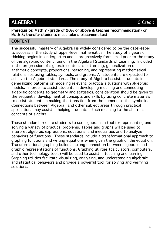# ALGEBRA I 1.0 Credit

Prerequisite: Math 7 (grade of 90% or above & teacher recommendation) or Math 8; transfer students must take a placement test

# **CONTENT**

The successful mastery of Algebra I is widely considered to be the gatekeeper to success in the study of upper-level mathematics. The study of algebraic thinking begins in kindergarten and is progressively formalized prior to the study of the algebraic content found in the Algebra I Standards of Learning. Included in the progression of algebraic content is patterning, generalization of arithmetic concepts, proportional reasoning, and representing mathematical relationships using tables, symbols, and graphs. All students are expected to achieve the Algebra I standards. The study of Algebra I assists students in generalizing patterns or modeling relevant, practical situations with algebraic models. In order to assist students in developing meaning and connecting algebraic concepts to geometry and statistics, consideration should be given to the sequential development of concepts and skills by using concrete materials to assist students in making the transition from the numeric to the symbolic. Connections between Algebra I and other subject areas through practical applications may assist in helping students attach meaning to the abstract concepts of algebra.

These standards require students to use algebra as a tool for representing and solving a variety of practical problems. Tables and graphs will be used to interpret algebraic expressions, equations, and inequalities and to analyze behaviors of functions. These standards include a transformational approach to graphing functions and writing equations when given the graph of the equation. Transformational graphing builds a strong connection between algebraic and graphic representations of functions. Graphing utilities (calculators, computers, and other technology tools) will be used to assist in teaching and learning. Graphing utilities facilitate visualizing, analyzing, and understanding algebraic and statistical behaviors and provide a powerful tool for solving and verifying solutions.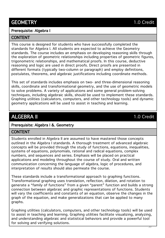# Prerequisite: Algebra I

#### **CONTENT**

This course is designed for students who have successfully completed the standards for Algebra I. All students are expected to achieve the Geometry standards. The course includes an emphasis on developing reasoning skills through the exploration of geometric relationships including properties of geometric figures, trigonometric relationships, and mathematical proofs. In this course, deductive reasoning and logic are used in direct proofs. Direct proofs are presented in different formats (typically two-column or paragraph) and employ definitions, postulates, theorems, and algebraic justifications including coordinate methods.

This set of standards includes emphasis on two- and three-dimensional reasoning skills, coordinate and transformational geometry, and the use of geometric models to solve problems. A variety of applications and some general problem-solving techniques, including algebraic skills, should be used to implement these standards. Graphing utilities (calculators, computers, and other technology tools) and dynamic geometry applications will be used to assist in teaching and learning.

# ALGEBRA II **1.0** Credit

# Prerequisite: Algebra I &. Geometry

#### **CONTENT**

Students enrolled in Algebra II are assumed to have mastered those concepts outlined in the Algebra I standards. A thorough treatment of advanced algebraic concepts will be provided through the study of functions, equations, inequalities, systems of equations, polynomials, rational and radical equations, complex numbers, and sequences and series. Emphasis will be placed on practical applications and modeling throughout the course of study. Oral and written communication concerning the language of algebra, logic of procedures, and interpretation of results should also permeate the course.

These standards include a transformational approach to graphing functions. Transformational graphing uses translation, reflection, dilation, and rotation to generate a "family of functions" from a given "parent" function and builds a strong connection between algebraic and graphic representations of functions. Students will vary the coefficients and constants of an equation, observe the changes in the graph of the equation, and make generalizations that can be applied to many graphs.

Graphing utilities (calculators, computers, and other technology tools) will be used to assist in teaching and learning. Graphing utilities facilitate visualizing, analyzing, and understanding algebraic and statistical behaviors and provide a powerful tool for solving and verifying solutions.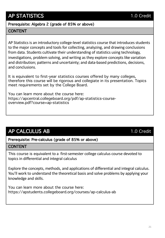# AP STATISTICS 1.0 Credit

### Prerequisite: Algebra 2 (grade of 85% or above)

# **CONTENT**

AP Statistics is an introductory college-level statistics course that introduces students to the major concepts and tools for collecting, analyzing, and drawing conclusions from data. Students cultivate their understanding of statistics using technology, investigations, problem solving, and writing as they explore concepts like variation and distribution; patterns and uncertainty; and data-based predictions, decisions, and conclusions.

It is equivalent to first-year statistics courses offered by many colleges, therefore this course will be rigorous and collegiate in its presentation. Topics meet requirements set by the College Board.

You can learn more about the course here: https://apcentral.collegeboard.org/pdf/ap-statistics-courseoverview.pdf?course=ap-statistics

# AP CALCULUS AB 1.0 Credit

# Prerequisite: Pre-calculus (grade of 85% or above)

#### **CONTENT**

This course is equivalent to a first-semester college calculus course devoted to topics in differential and integral calculus

Explore the concepts, methods, and applications of differential and integral calculus. You'll work to understand the theoretical basis and solve problems by applying your knowledge and skills.

You can learn more about the course here: https://apstudents.collegeboard.org/courses/ap-calculus-ab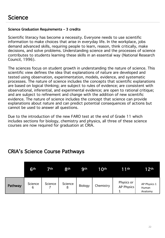#### Science Graduation Requirements – 3 credits

Scientific literacy has become a necessity. Everyone needs to use scientific information to make choices that arise in everyday life. In the workplace, jobs demand advanced skills, requiring people to learn, reason, think critically, make decisions, and solve problems. Understanding science and the processes of science contributes to students learning these skills in an essential way (National Research Council, 1996).

The sciences focus on student growth in understanding the nature of science. This scientific view defines the idea that explanations of nature are developed and tested using observation, experimentation, models, evidence, and systematic processes. The nature of science includes the concepts that scientific explanations are based on logical thinking; are subject to rules of evidence; are consistent with observational, inferential, and experimental evidence; are open to rational critique; and are subject to refinement and change with the addition of new scientific evidence. The nature of science includes the concept that science can provide explanations about nature and can predict potential consequences of actions but cannot be used to answer all questions.

Due to the introduction of the new FARO test at the end of Grade 11 which includes sections for biology, chemistry and physics, all three of these science courses are now required for graduation at CRIA.

# CRIA's Science Course Pathways

|         | 6th          | 7th.    | 8 <sup>th</sup> | <b>gth</b> | 10 <sup>th</sup> | <b>11th</b>              | 12 <sup>th</sup>                 |
|---------|--------------|---------|-----------------|------------|------------------|--------------------------|----------------------------------|
| Pathway | Science<br>6 | Science | Science<br>8    | Biology    | Chemistry        | Physics or<br>AP Physics | AP Physics 1<br>Human<br>Anatomy |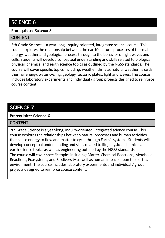# SCIENCE 6

### Prerequisite: Science 5

### **CONTENT**

6th Grade Science is a year-long, inquiry-oriented, integrated science course. This course explores the relationship between the earth's natural processes of thermal energy, weather and geological process through to the behavior of light waves and cells. Students will develop conceptual understanding and skills related to biological, physical, chemical and earth science topics as outlined by the NGSS standards. The course will cover specific topics including: weather, climate, natural weather hazards, thermal energy, water cycling, geology, tectonic plates, light and waves. The course includes laboratory experiments and individual / group projects designed to reinforce course content.

# SCIENCE 7

#### Prerequisite: Science 6

# **CONTENT**

7th Grade Science is a year-long, inquiry-oriented, integrated science course. This course explores the relationships between natural processes and human activities that cause energy to flow and matter to cycle through Earth's systems. Students will develop conceptual understanding and skills related to life, physical, chemical and earth science topics as well as engineering outlined by the NGSS standards. The course will cover specific topics including: Matter, Chemical Reactions, Metabolic Reactions, Ecosystems, and Biodiversity as well as human impacts upon the earth's environment. The course includes laboratory experiments and individual / group projects designed to reinforce course content.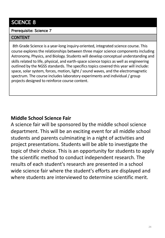# SCIENCE 8

# Prerequisite: Science 7

# **CONTENT**

8th Grade Science is a year-long inquiry-oriented, integrated science course. This course explores the relationships between three major science components including Astronomy, Physics, and Biology. Students will develop conceptual understanding and skills related to life, physical, and earth-space science topics as well as engineering outlined by the NGSS standards. The specifics topics covered this year will include: space, solar system, forces, motion, light / sound waves, and the electromagnetic spectrum. The course includes laboratory experiments and individual / group projects designed to reinforce course content.

# **Middle School Science Fair**

A science fair will be sponsored by the middle school science department. This will be an exciting event for all middle school students and parents culminating in a night of activities and project presentations. Students will be able to investigate the topic of their choice. This is an opportunity for students to apply the scientific method to conduct independent research. The results of each student's research are presented in a school wide science fair where the student's efforts are displayed and where students are interviewed to determine scientific merit.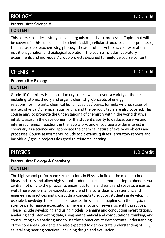# BIOLOGY 1.0 Credit

### Prerequisite: Science 8

# **CONTENT**

This course includes a study of living organisms and vital processes. Topics that will be covered in this course include scientific skills, cellular structure, cellular processes, the microscope, biochemistry, photosynthesis, protein synthesis, cell respiration, nutrition, genetics, and biological evolution. The course includes laboratory experiments and individual / group projects designed to reinforce course content.

# CHEMISTY 1.0 Credit

# Prerequisite: Biology

# CONTENT

Grade 10 Chemistry is an introductory course which covers a variety of themes including: atomic theory and organic chemistry. Concepts of energy relationships, molarity, chemical bonding, acids / bases, formula writing, states of matter, physical / chemical equilibrium, and the periodic table are also covered. This course aims to promote the understanding of chemistry within the world that we inhabit; assist in the development of the student's ability to deduce, observe and interpret chemical reactions in the laboratory; and encourage a wider interest in chemistry as a science and appreciate the chemical nature of everyday objects and processes. Course assessments include topic exams, quizzes, laboratory reports and individual / group projects designed to reinforce learning.

# Prerequisite: Biology & Chemistry

# CONTENT

25 The high school performance expectations in Physics build on the middle school ideas and skills and allow high school students to explain more in-depth phenomena central not only to the physical sciences, but to life and earth and space sciences as well. These performance expectations blend the core ideas with scientific and engineering practices and crosscutting concepts to support students in developing useable knowledge to explain ideas across the science disciplines. In the physical science performance expectations, there is a focus on several scientific practices. These include developing and using models, planning and conducting investigations, analyzing and interpreting data, using mathematical and computational thinking, and constructing explanations; and to use these practices to demonstrate understanding of the core ideas. Students are also expected to demonstrate understanding of several engineering practices, including design and evaluation.

# PHYSICS 1.0 Credit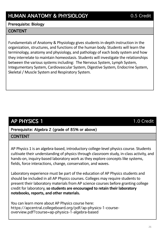#### Prerequisite: Biology

# CONTENT

Fundamentals of Anatomy & Physiology gives students in-depth instruction in the organization, structures, and functions of the human body. Students will learn the terminology, anatomy and physiology, and pathology of each body system and how they interrelate to maintain homeostasis. Students will investigate the relationships between the various systems including: The Nervous System, Lymph System, Integumentary System, Cardiovascular System, Digestive System, Endocrine System, Skeletal / Muscle System and Respiratory System.

# AP PHYSICS 1 1.0 Credit

Prerequisite: Algebra 2 (grade of 85% or above)

#### CONTENT

AP Physics 1 is an algebra-based, introductory college-level physics course. Students cultivate their understanding of physics through classroom study, in-class activity, and hands-on, inquiry-based laboratory work as they explore concepts like systems, fields, force interactions, change, conservation, and waves.

Laboratory experience must be part of the education of AP Physics students and should be included in all AP Physics courses. Colleges may require students to present their laboratory materials from AP science courses before granting college credit for laboratory, **so students are encouraged to retain their laboratory notebooks, reports, and other materials.**

You can learn more about AP Physics course here: https://apcentral.collegeboard.org/pdf/ap-physics-1-courseoverview.pdf?course=ap-physics-1-algebra-based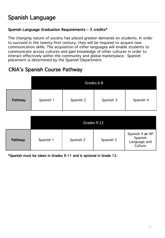# Spanish Language Graduation Requirements – 3 credits\*

The changing nature of society has placed greater demands on students. In order to succeed in the twenty-first century, they will be required to acquire new communication skills. The acquisition of other languages will enable students to communicate across cultures and gain knowledge of other cultures in order to interact effectively within the community and global marketplace. Spanish placement is determined by the Spanish Department.

# CRIA's Spanish Course Pathway

|         | Grades 6-8 |           |           |           |  |  |  |
|---------|------------|-----------|-----------|-----------|--|--|--|
| Pathway | Spanish 1  | Spanish 2 | Spanish 3 | Spanish 4 |  |  |  |

|         | Grades 9-12 |           |           |                                                       |  |  |
|---------|-------------|-----------|-----------|-------------------------------------------------------|--|--|
| Pathway | Spanish 1   | Spanish 2 | Spanish 3 | Spanish 4 or AP<br>Spanish<br>Language and<br>Culture |  |  |

\*Spanish must be taken in Grades 9-11 and is optional in Grade 12.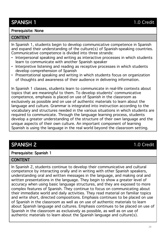# SPANISH 1 1.0 Credit

#### Prerequisite: None

#### **CONTENT**

In Spanish 1, students begin to develop communicative competence in Spanish and expand their understanding of the culture(s) of Spanish-speaking countries. Communicative competence is divided into three strands:

- Interpersonal speaking and writing as interactive processes in which students learn to communicate with another Spanish speaker
- Interpretive listening and reading as receptive processes in which students develop comprehension of Spanish
- Presentational speaking and writing in which students focus on organization of thoughts and awareness of their audience in delivering information.

In Spanish 1 classes, students learn to communicate in real-life contexts about topics that are meaningful to them. To develop students' communicative competence, emphasis is placed on use of Spanish in the classroom as exclusively as possible and on use of authentic materials to learn about the language and culture. Grammar is integrated into instruction according to the vocabulary and structures needed in the various situations in which students are required to communicate. Through the language learning process, students develop a greater understanding of the structure of their own language and the unique aspects of their own culture. An important component of learning Spanish is using the language in the real world beyond the classroom setting.

# SPANISH 2 1.0 Credit

#### Prerequisite: Spanish 1

#### **CONTENT**

In Spanish 2, students continue to develop their communicative and cultural competence by interacting orally and in writing with other Spanish speakers, understanding oral and written messages in the language, and making oral and written presentations in the language. They begin to show a greater level of accuracy when using basic language structures, and they are exposed to more complex features of Spanish. They continue to focus on communicating about their immediate world and daily activities. They read material on familiar topics and write short, directed compositions. Emphasis continues to be placed on use of Spanish in the classroom as well as on use of authentic materials to learn about Spanish language and cultures. Emphasis continues to be placed on use of Spanish in the classroom as exclusively as possible, as well as on use of authentic materials to learn about the Spanish language and culture(s).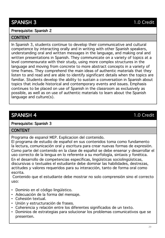# Prerequisite: Spanish 2

# **CONTENT**

In Spanish 3, students continue to develop their communicative and cultural competence by interacting orally and in writing with other Spanish speakers, understanding oral and written messages in the language, and making oral and written presentations in Spanish. They communicate on a variety of topics at a level commensurate with their study, using more complex structures in the language and moving from concrete to more abstract concepts in a variety of time frames. They comprehend the main ideas of authentic materials that they listen to and read and are able to identify significant details when the topics are familiar. Students develop the ability to sustain a conversation in Spanish about topics that include historical and contemporary events and issues. Emphasis continues to be placed on use of Spanish in the classroom as exclusively as possible, as well as on use of authentic materials to learn about the Spanish language and culture(s).

# SPANISH 4 1.0 Credit

#### Prerequisite: Spanish 3

# **CONTENT**

Programa de espanol MEP. Explicacion del contenido.

El programa de estudio de español en sus contenidos toma como fundamento la lectura, comunicación oral y escritura para crear nuevas formas de expresión. Como parte del contenido en la clase de español se debe ensenar y desarrollar el uso correcto de la lengua en lo referente a su morfología, sintaxis y fonética. En el desarrollo de competencias específicas, lingüísticas sociolingüísticas, discursivas o textuales el estudiante debe dominar las habilidades, destrezas, actitudes y valores requeridos para su interacción, tanto de forma oral como escrita.

Contenido que el estudiante debe mostrar no solo comprensión sino el correcto uso:

- Dominio en el código lingüístico.
- Adecuación de la forma del mensaje.
- Cohesión textual.
- Unión y estructuración de frases.
- Coherencia y relación entre los diferentes significados de un texto.
- Dominios de estrategias para solucionar los problemas comunicativos que se presenten.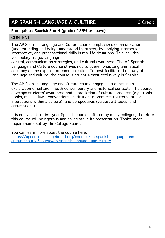# AP SPANISH LANGUAGE & CULTURE 1.0 Credit

# Prerequisite: Spanish 3 or 4 (grade of 85% or above)

# CONTENT

The AP Spanish Language and Culture course emphasizes communication (understanding and being understood by others) by applying interpersonal, interpretive, and presentational skills in real-life situations. This includes vocabulary usage, language

control, communication strategies, and cultural awareness. The AP Spanish Language and Culture course strives not to overemphasize grammatical accuracy at the expense of communication. To best facilitate the study of language and culture, the course is taught almost exclusively in Spanish.

The AP Spanish Language and Culture course engages students in an exploration of culture in both contemporary and historical contexts. The course develops students' awareness and appreciation of cultural products (e.g., tools, books, music , laws, conventions, institutions); practices (patterns of social interactions within a culture); and perspectives (values, attitudes, and assumptions).

It is equivalent to first-year Spanish courses offered by many colleges, therefore this course will be rigorous and collegiate in its presentation. Topics meet requirements set by the College Board.

You can learn more about the course here: [https://apcentral.collegeboard.org/courses/ap-spanish-language-and](https://apcentral.collegeboard.org/courses/ap-spanish-language-and-culture/course?course=ap-spanish-language-and-culture)culture/course?course=ap-spanish-language-and-culture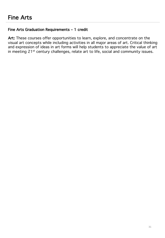# Fine Arts Graduation Requirements – 1 credit

Art: These courses offer opportunities to learn, explore, and concentrate on the visual art concepts while including activities in all major areas of art. Critical thinking and expression of ideas in art forms will help students to appreciate the value of art in meeting 21<sup>st</sup> century challenges, relate art to life, social and community issues.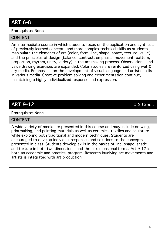# ART 6-8

# Prerequisite: None

### **CONTENT**

An intermediate course in which students focus on the application and synthesis of previously learned concepts and more complex technical skills as students manipulate the elements of art (color, form, line, shape, space, texture, value) and the principles of design (balance, contrast, emphasis, movement, pattern, proportion, rhythm, unity, variety) in the art-making process. Observational and value drawing exercises are expanded. Color studies are reinforced using wet & dry media. Emphasis is on the development of visual language and artistic skills in various media. Creative problem solving and experimentation continue, maintaining a highly individualized response and expression.

# ART 9-12 0.5 Credit

#### Prerequisite: None

#### **CONTENT**

A wide variety of media are presented in this course and may include drawing, printmaking, and painting materials as well as ceramics, textiles and sculpture while exploring both traditional and modern techniques. Students are encouraged to develop individual responses and solutions to the concepts presented in class. Students develop skills in the basics of line, shape, shade and texture in both two dimensional and three- dimensional forms. Art 9-12 is both an academic and practical program. Research involving art movements and artists is integrated with art production.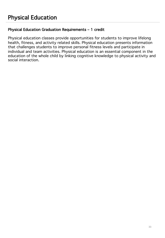# Physical Education Graduation Requirements – 1 credit

Physical education classes provide opportunities for students to improve lifelong health, fitness, and activity related skills. Physical education presents information that challenges students to improve personal fitness levels and participate in individual and team activities. Physical education is an essential component in the education of the whole child by linking cognitive knowledge to physical activity and social interaction.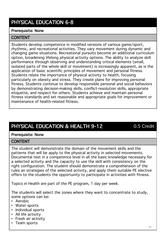# PHYSICAL EDUCATION 6-8

#### Prerequisite: None

#### **CONTENT**

Students develop competence in modified versions of various game/sport, rhythmic, and recreational activities. They vary movement during dynamic and changing game situations. Recreational pursuits become an additional curriculum option, broadening lifelong physical activity options. The ability to analyze skill performance through observing and understanding critical elements (small, isolated parts of the whole skill or movement) is increasingly apparent, as is the application of basic scientific principles of movement and personal fitness. Students relate the importance of physical activity to health, focusing particularly on obesity and stress. They create plans for improving personal fitness. Students continue to develop responsible personal and social behaviors by demonstrating decision-making skills, conflict-resolution skills, appropriate etiquette, and respect for others. Students achieve and maintain personal fitness standards and set reasonable and appropriate goals for improvement or maintenance of health-related fitness.

# PHYSICAL EDUCATION & HEALTH 9-12 0.5 Credit

# Prerequisite: None

#### **CONTENT**

The student will demonstrate the domain of the movement skills and the patterns that will be apply to the physical activity in selected movements. Documental test in a competence level in all the basic knowledge necessary for a selected activity and the capacity to use the skill with consistency on the right configuration. The student should demonstrate a comprehension of the rules an strategies of the selected activity, and apply them suitable PE elective offers to the students the opportunity to participate in activities with fitness.

Topics in Health are part of the PE program, 1 day per week.

The students will select the zones where they want to concentrate to study, some options can be:

- Aerobic
- Water sports
- Individual sports
- All life activity
- Fresh air activity
- Team sports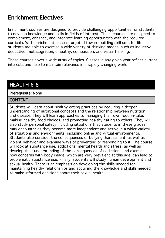# Enrichment Electives

Enrichment courses are designed to provide challenging opportunities for students to develop knowledge and skills in fields of interest. These courses are designed to complement, enhance, and integrate learning opportunities with the required curricula. With enrichment classes targeted toward building skill sets for life, students are able to exercise a wide variety of thinking modes, such as inductive, deductive, metacognition, empathy, compassion, and visual thinking.

These courses cover a wide array of topics. Classes in any given year reflect current interests and help to maintain relevance in a rapidly changing world.

# HEALTH 6-8

#### Prerequisite: None

#### CONTENT

Students will learn about healthy eating practices by acquiring a deeper understanding of nutritional concepts and the relationship between nutrition and disease. They will learn approaches to managing their own food in-take, making healthy food choices, and promoting healthy eating to others. They will also study personal safety including situations that students in these grades may encounter as they become more independent and active in a wider variety of situations and environments, including online and virtual environments. Students also consider the consequences of bullying, harassment, as well as violent behavior and examine ways of preventing or responding to it. The course will look at substance use, addictions, mental health and stress, as well as develop their understanding of the consequences of addictions and examine how concerns with body image, which are very prevalent at this age, can lead to problematic substance use. Finally, students will study human development and sexual health. There is an emphasis on developing the skills needed for maintaining healthy relationships and acquiring the knowledge and skills needed to make informed decisions about their sexual health.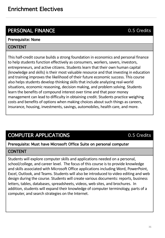# PERSONAL FINANCE 0.5 Credits

# Prerequisite: None

# CONTENT

This half-credit course builds a strong foundation in economics and personal finance to help students function effectively as consumers, workers, savers, investors, entrepreneurs, and active citizens. Students learn that their own human capital (knowledge and skills) is their most valuable resource and that investing in education and training improves the likelihood of their future economic success. This course also helps students develop thinking skills that include analyzing real-world situations, economic reasoning, decision making, and problem solving. Students learn the benefits of compound interest over time and that poor money management can lead to difficulty in obtaining credit. Students practice weighing costs and benefits of options when making choices about such things as careers, insurance, housing, investments, savings, automobiles, health care, and more.

# COMPUTER APPLICATIONS 6.5 Credits

#### Prerequisite: Must have Microsoft Office Suite on personal computer

#### **CONTENT**

Students will explore computer skills and applications needed on a personal, school/college, and career level. The focus of this course is to provide knowledge and skills associated with Microsoft Office applications including Word, PowerPoint, Excel, Outlook, and Teams. Students will also be introduced to video editing and web design during the course. Students will create various documents: reports, business letters, tables, databases, spreadsheets, videos, web sites, and brochures. In addition, students will expand their knowledge of computer terminology, parts of a computer, and search strategies on the Internet.